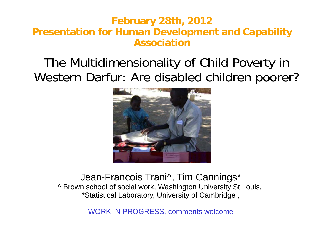#### **February 2 28th, 2012 Presentation for Human De evelopment and Capability Association**

### The Multidimensionality of Child Poverty in Western Darfur: Are d isabled children poorer?



#### Jean-Francois Trani^, Tim Cannings\* ^ Brown school of social work, Washington University St Louis, \*Statistical Laboratory, U niversity of Cambridge ,

WORK IN PROGRESS S, comments welcome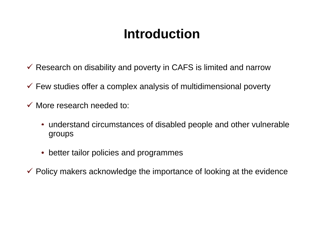# **Introduuction**

- $\checkmark$  Research on disability and poverty in CAFS is limited and narrow
- $\checkmark$  Few studies offer a complex analysis of multidimensional poverty
- $\checkmark$  More research needed to:
	- $\bullet\,$  understand circumstances of disabled people and other vulnerable groups
	- $\bullet\,$  better tailor policies and programmes
- $\checkmark$  Policy makers acknowledge the importance of looking at the evidence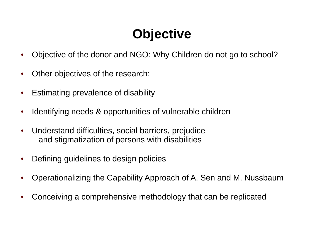# **Obje ctive**

- •• Objective of the donor and NGO: Why Children do not go to school?
- •Other objectives of the research:
- •Estimating prevalence of disability
- •• Identifying needs & opportunities of vulnerable children
- $\bullet$ • Understand difficulties, social barriers, prejudice and stigmatization of persons with disabilities
- • $\bullet$  Defining guidelines to design policies
- •• Operationalizing the Capability Approach of A. Sen and M. Nussbaum
- $\bullet$ Conceiving a comprehensive metho dology that can be replicated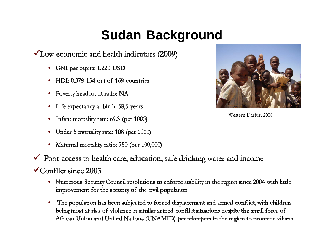# **Sudan Background**

 $\checkmark$  Low economic and health indicators (2009)

- GNI per capita: 1,220 USD
- HDI: 0.379 154 out of 169 countries
- Poverty headcount ratio: NA
- Life expectancy at birth: 58,5 years
- Infant mortality rate: 69.3 (per 1000)
- Under 5 mortality rate: 108 (per 1000)
- Maternal mortality ratio: 750 (per 100,000)



- $\checkmark$ Conflict since 2003
	- Numerous Security Council resolutions to enforce stability in the region since 2004 with little improvement for the security of the civil population
	- The population has been subjected to forced displacement and armed conflict, with children being most at risk of violence in similar armed conflict situations despite the small force of African Union and United Nations (UNAMID) peacekeepers in the region to protect civilians



Western Darfur, 2008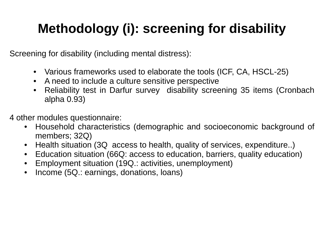# **Methodology ( )i : scr reening y for disability**

Screening for disability (including mental d distress):

- Various frameworks used to elab borate the tools (ICF, CA, HSCL-25)
- A need to include a culture sensi tive perspective
- $\bullet$  Reliability test in Darfur survey disability screening 35 items (Cronbach alpha 0.93)
- 4 other modules questionnaire:
	- $\bullet$ • Household characteristics (demographic and socioeconomic background of members; 32Q)
	- $\bullet$ Health situation (3Q access to health, quality of services, expenditure..)
	- • $\bullet$  Education situation (66Q: access to education, barriers, quality education)
	- •Employment situation (19Q.: activit ies, unemployment)
	- •Income (5Q.: earnings, donations, loans)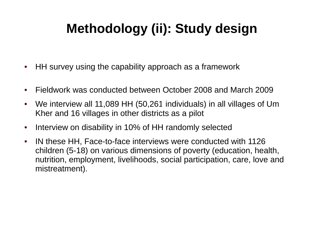# **Methodology (ii i) yg : Study design**

- $\bullet$ • HH survey using the capability approach as a framework
- $\bullet$ Fieldwork was conducted between October 2008 and March 2009
- $\bullet$ • We interview all 11,089 HH (50,261 individuals) in all villages of Um Kher and 16 villages in other districts as a pilot
- $\bullet$ • Interview on disability in 10% of HH randomly selected
- $\bullet$ • IN these HH, Face-to-face interviews were conducted with 1126 children (5-18) on various dimensions of poverty (education, health, nutrition, employment, livelihoods, social participation, care, love and mistreatment).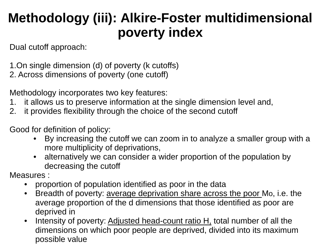# **Methodology (iii): Alkire-Foster multidimensional poverty y index**

Dual cutoff approach:

1.On single dimension (d) of poverty (k cutoffs)

2. Across dimensions of poverty (one cutoff)

Methodology incorporates two key features:

- 1. it allows us to preserve information at the single dimension level and,
- 2.  $\,$  it provides flexibility through the choice of the second cutoff

Good for definition of policy:

- • By increasing the cutoff we can z zoom in to analyze a smaller group with a more multiplicity of deprivations,
- $\bullet$  $\bullet$   $\;$  alternatively we can consider a wider proportion of the population by decreasing the cutoff

Measures :

- • $\bullet$  proportion of population identified as poor in the data
- $\bullet$ Breadth of poverty: <u>average deprivation share across the poor</u> Mo, i.e. the average proportion of the d dimens ions that those identified as poor are deprived in
- $\bullet$ Intensity of poverty: **Adjusted head** - -count ratio H, total number of all the dimensions on which poor people are deprived, divided into its maximum possible value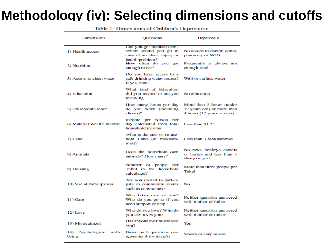#### **Methodology (iv): Selecti ng dimensions and cutoffs**

| <b>Dimensions</b>                | <b>Ouestions</b>                                                                  | Deprived if                                                                          |  |  |  |  |
|----------------------------------|-----------------------------------------------------------------------------------|--------------------------------------------------------------------------------------|--|--|--|--|
| 1) Health access                 | Can you get medical care?<br>Where would you go in<br>case of accident, injury or | No access to doctor, clinic,<br>pharmacy or NGO                                      |  |  |  |  |
| 2) Nutrition                     | health problem?<br>How often do you get<br>enough to eat?                         | Frequently or always not<br>enough food                                              |  |  |  |  |
| 3) Access to clean water         | Do you have access to a<br>safe drinking water source?<br>If yes, how?            | Well or surface water                                                                |  |  |  |  |
| 4) Education                     | What kind of Education<br>did you receive or are you<br>receiving                 | No education                                                                         |  |  |  |  |
| 5) Child/youth labor             | How many hours per day<br>do you work (including<br>chores)?                      | More than 2 hours (under<br>12 years old) or more than<br>4 hours (12 years or over) |  |  |  |  |
| 6) Material Wealth-Income        | Income per person per<br>day calculated from total<br>household income            | Less than \$1.25                                                                     |  |  |  |  |
| 7) Land                          | What is the size of House-<br>hold Land (in mokham-<br>$mas$ ?                    | Less than 3 Mokhammas                                                                |  |  |  |  |
| 8) Animals                       | Does the household own<br>animals? How many?                                      | No cows, donkeys, camels<br>or horses and less than 5<br>sheep or goat               |  |  |  |  |
| 9) Housing                       | Number of people per<br>Tukul in the household<br>calculated?                     | More than three people per<br>Tukul                                                  |  |  |  |  |
| 10) Social Participation         | Are you invited to partici-<br>pate in community events<br>such as ceremonies?    | No                                                                                   |  |  |  |  |
| 11) Care                         | Who takes care of you?<br>Who do you go to if you<br>need support or help?        | Neither question answered<br>with mother of father                                   |  |  |  |  |
| 12) Love                         | Who do you love? Who do<br>you feel loves you?                                    | Neither question answered<br>with mother or father                                   |  |  |  |  |
| 13) Mistreatment                 | Has anyone ever mistreated<br>you?                                                | Yes                                                                                  |  |  |  |  |
| 14) Psychological well-<br>being | Based on 8 questions (see<br>appendix A for details)                              | Severe or very severe                                                                |  |  |  |  |

Table 1: Dimensions of Children's Deprivation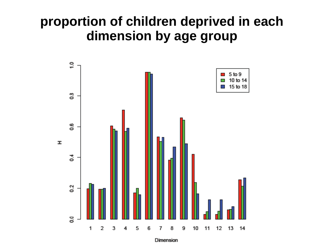#### proportion of children deprived in each dimension by age group



Dimension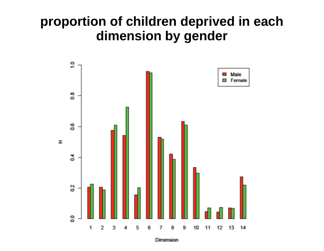#### proportion of children deprived in each dimension by gender



**Dimension**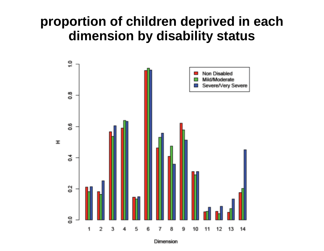#### proportion of children deprived in each dimension by disability status



Dimension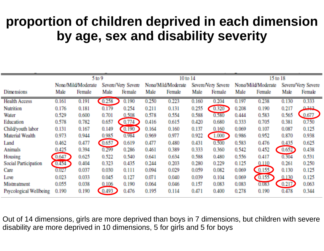## proportion of children deprived in each dimension **by age sex and d age, disability severity**

|                               | 5 <sub>to</sub> 9                        |        |                    |        |                    | 10 to 14 |                    |        | 15 to 18           |        |       |        |  |
|-------------------------------|------------------------------------------|--------|--------------------|--------|--------------------|----------|--------------------|--------|--------------------|--------|-------|--------|--|
|                               | None/Mild/Moderate<br>Severe/Very Severe |        | None/Mild/Moderate |        | Severe/Very Severe |          | None/Mild/Moderate |        | Severe/Very Severe |        |       |        |  |
| Dimensions                    | Male                                     | Female | Male               | Female | Male               | Female   | Male               | Female | Male               | Female | Male  | Female |  |
| <b>Health Access</b>          | 0.161                                    | 0.191  | 0.258              | 0.190  | 0.250              | 0.223    | 0.160              | 0.204  | 0.197              | 0.238  | 0.130 | 0.333  |  |
| <b>Nutrition</b>              | 0.176                                    | 0.181  | 0.179              | 0.254  | 0.211              | 0.131    | 0.255              | 0.320  | 0.208              | 0.190  | 0.217 | 0.212  |  |
| Water                         | 0.529                                    | 0.600  | 0.701              | 0.508  | 0.578              | 0.554    | 0.588              | 0.580  | 0.444              | 0.583  | 0.565 | 0.677  |  |
| Education                     | 0.578                                    | 0.782  | 0.657              | 0.774  | 0.416              | 0.615    | 0.420              | 0.680  | 0.333              | 0.705  | 0.381 | 0.750  |  |
| Child/youth labor             | 0.131                                    | 0.167  | 0.149              | 0.190  | 0.164              | 0.160    | 0.137              | 0.160  | 0.069              | 0.107  | 0.087 | 0.125  |  |
| Material Wealth               | 0.973                                    | 0.944  | 0.985              | 0.984  | 0.969              | 0.977    | 0.922              | 1,000  | 0.986              | 0.952  | 0.870 | 0.938  |  |
| Land                          | 0.462                                    | 0.477  | 0.657              | 0.619  | 0.477              | 0.480    | 0.431              | 0.500  | 0.583              | 0.476  | 0.435 | 0.625  |  |
| <b>Animals</b>                | 0.425                                    | 0.394  | 0.299              | 0.286  | 0.461              | 0.389    | 0.333              | 0.360  | 0.542              | 0.452  | 0.652 | 0.438  |  |
| Housing                       | 0.647                                    | 0.625  | 0.522              | 0.540  | 0.641              | 0.634    | 0.588              | 0.480  | 0.556              | 0.417  | 0.304 | 0.531  |  |
| <b>Social Participation</b>   | <b>OAKA</b>                              | 0.404  | 0.323              | 0.435  | 0.244              | 0.203    | 0.280              | 0.229  | 0.125              | 0.110  | 0.261 | 0.250  |  |
| Care                          | <b>OURT</b>                              | 0.037  | 0.030              | 0.111  | 0.094              | 0.029    | 0.059              | 0.082  | 0.069              | 0.155  | 0.130 | 0.125  |  |
| Love                          | 0.023                                    | 0.033  | 0.045              | 0.127  | 0.071              | 0.040    | 0.039              | 0.104  | 0.069              | 0.155  | 0.130 | 0.125  |  |
| Mistreatment                  | 0.055                                    | 0.038  | 0,106              | 0.190  | 0.064              | 0.046    | 0.157              | 0.083  | 0.083              | OLOKE  | 0.217 | 0.063  |  |
| <b>Psycological Wellbeing</b> | 0.190                                    | 0.190  | 0.493              | 0.476  | 0.195              | 0.114    | 0.471              | 0.400  | 0.278              | 0.190  | 0.478 | 0.344  |  |

Out of 14 dimensions, girls are more deprived than boys in 7 dimensions, but children with severe disability are more deprived in 10 dimensions, 5 f for girls and 5 for boys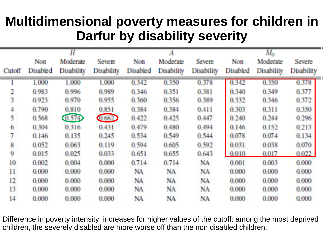# **Multidimensional povert y y measures for children in Darfur by disa disa ability severity**

|        |          | Н                 |                   |          |            |            | $M_{0}$  |            |                   |  |  |
|--------|----------|-------------------|-------------------|----------|------------|------------|----------|------------|-------------------|--|--|
|        | Non      | Moderate          | Severe            | Non      | Moderate   | Severe     | Non      | Moderate   | Severe            |  |  |
| Cutoff | Disabled | <b>Disability</b> | <b>Disability</b> | Disabled | Disability | Disability | Disabled | Disability | <b>Disability</b> |  |  |
|        | 1.000    | 1.000             | 1.000             | 0.342    | 0.350      | 0.378      | 0.342    | 0.350      | 0.378             |  |  |
| 2      | 0.983    | 0.996             | 0.989             | 0.346    | 0.351      | 0.381      | 0.340    | 0.349      | 0.377             |  |  |
| 3      | 0.923    | 0.970             | 0.955             | 0.360    | 0.356      | 0.389      | 0.332    | 0.346      | 0.372             |  |  |
| 4      | 0.790    | 0.810             | 0.851             | 0.384    | 0.384      | 0.411      | 0.303    | 0.311      | 0.350             |  |  |
| 5      | 0.568    | 0.574             | Quest             | 0.422    | 0.425      | 0.447      | 0.240    | 0.244      | 0.296             |  |  |
| 6      | 0.304    | 0.316             | 0.431             | 0.479    | 0.480      | 0.494      | 0.146    | 0.152      | 0.213             |  |  |
| 7      | 0.146    | 0.135             | 0.245             | 0.534    | 0.549      | 0.544      | 0.078    | 0.074      | 0.134             |  |  |
| 8      | 0.052    | 0.063             | 0.119             | 0.594    | 0.605      | 0.592      | 0.031    | 0.038      | 0.070             |  |  |
| 9      | 0.015    | 0.025             | 0.033             | 0.651    | 0.655      | 0.643      | 0.010    | 0.017      | 0.022             |  |  |
| 10     | 0.002    | 0.004             | 0.000             | 0.714    | 0.714      | NA         | 0.001    | 0.003      | 0.000             |  |  |
| П      | 0.000    | 0.000             | 0.000             | NA       | NA.        | NA.        | 0.000    | 0.000      | 0.000             |  |  |
| 12     | 0.000    | 0.000             | 0.000             | NA       | NA.        | NA         | 0.000    | 0.000      | 0.000             |  |  |
| 13     | 0.000    | 0.000             | 0.000             | NA       | NA         | NA         | 0.000    | 0.000      | 0.000             |  |  |
| 14     | 0.000    | 0.000             | 0.000             | NA       | NA.        | NA         | 0.000    | 0.000      | 0.000             |  |  |

Difference in poverty intensity increases for higher values of the cutoff: among the most deprived children, the severely disabled are more worse off than the non disabled children.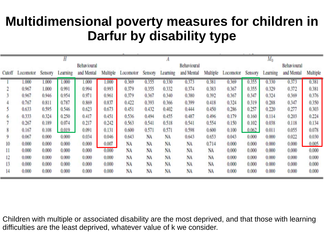## **Multidimensional povert y y measures for children in Darfur by dis sability type**

|             |                  |         |          |            |          |           |           |             |            |           |             | $M_0$   |          |            |          |  |  |
|-------------|------------------|---------|----------|------------|----------|-----------|-----------|-------------|------------|-----------|-------------|---------|----------|------------|----------|--|--|
| Behavioural |                  |         |          |            |          |           |           | Behavioural |            |           | Behavioural |         |          |            |          |  |  |
|             | Cutoff Locomotor | Sensory | Learning | and Mental | Multiple | Locomotor | Sensory   | Learning    | and Mental | Multiple  | Locomotor   | Sensory | Learning | and Mental | Multiple |  |  |
|             | 1.000            | 1.000   | 1.000    | 1.000      | 1.000    | 0.369     | 0.355     | 0.330       | 0.373      | 0.381     | 0.369       | 0.355   | 0.330    | 0.373      | 0.381    |  |  |
|             | 0.967            | 1.000   | 0.991    | 0.994      | 0.993    | 0.379     | 0.355     | 0.332       | 0.374      | 0.383     | 0.367       | 0.355   | 0.329    | 0.372      | 0.381    |  |  |
|             | 0.967            | 0.946   | 0.954    | 0.971      | 0.961    | 0.379     | 0.367     | 0.340       | 0.380      | 0.392     | 0.367       | 0.347   | 0.324    | 0.369      | 0.376    |  |  |
|             | 0.767            | 0.811   | 0.787    | 0.869      | 0.837    | 0.422     | 0.393     | 0.366       | 0.399      | 0.418     | 0.324       | 0.319   | 0.288    | 0.347      | 0.350    |  |  |
|             | 0.633            | 0.595   | 0.546    | 0.623      | 0.673    | 0.451     | 0.432     | 0.402       | 0.444      | 0.450     | 0.286       | 0.257   | 0.220    | 0.277      | 0.303    |  |  |
| 6           | 0.333            | 0.324   | 0.250    | 0.417      | 0.451    | 0.536     | 0.494     | 0.455       | 0.487      | 0.496     | 0.179       | 0.160   | 0.114    | 0.203      | 0.224    |  |  |
|             | 0.267            | 0.189   | 0.074    | 0.217      | 0.242    | 0.563     | 0.541     | 0.518       | 0.541      | 0.554     | 0.150       | 0.102   | 0.038    | 0.118      | 0.134    |  |  |
|             | 0.167            | 0.108   | 0.019    | 0.091      | 0.131    | 0.600     | 0.571     | 0.571       | 0.598      | 0.600     | 0.100       | 0.062   | 0.011    | 0.055      | 0.078    |  |  |
| g           | 0.067            | 0.000   | 0.000    | 0.034      | 0.046    | 0.643     | <b>NA</b> | <b>NA</b>   | 0.643      | 0.653     | 0.043       | 0.000   | 0.000    | 0.022      | 0.030    |  |  |
| 10          | 0.000            | 0.000   | 0.000    | 0.000      | 0.007    | NA        | NA        | NA          | <b>NA</b>  | 0.714     | 0.000       | 0.000   | 0.000    | 0.000      | 0.005    |  |  |
| 11          | 0.000            | 0.000   | 0.000    | 0.000      | 0.000    | NA        | NA        | NA          | NA         | <b>NA</b> | 0.000       | 0.000   | 0.000    | 0.000      | 0.000    |  |  |
| 12          | 0.000            | 0.000   | 0.000    | 0.000      | 0.000    | NA        | NA        | NA          | NA         | NA        | 0.000       | 0.000   | 0.000    | 0.000      | 0.000    |  |  |
| 13          | 0.000            | 0.000   | 0.000    | 0.000      | 0.000    | NA        | NA        | NA          | NA         | NA        | 0.000       | 0.000   | 0.000    | 0.000      | 0.000    |  |  |
| 14          | 0.000            | 0.000   | 0.000    | 0.000      | 0.000    | NA        | NA        | NA          | NA         | NA        | 0.000       | 0.000   | 0.000    | 0.000      | 0.000    |  |  |

Children with multiple or associated disability are the most deprived, and that those with learning difficulties are the least deprived, whatever value of k we consider.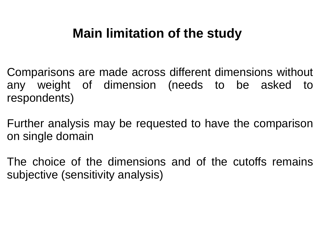## **Main limitation <sup>n</sup> of the study**

- Comparisons are made across s different dimensions without any weight of dimension (needs to be asked to respondents)
- Further analysis may be requested to have the comparison on single domain
- The choice of the dimensions and of the cutoffs remains subjective (sensitivity analysis) )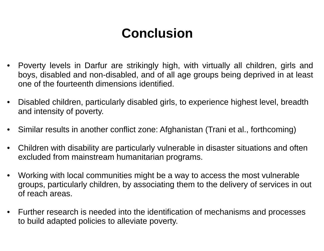# **Concluusion**

- Poverty levels in Darfur are strikingly high, with virtually all children, girls and •boys, disabled and non-disabled, and of all age groups being deprived in at least one of the fourteenth dimensions identified.
- •Disabled children, particularly disabled girls, to experience highest level, breadth and intensity of poverty.
- •Similar results in another conflict zone: A Afghanistan (Trani et al., forthcoming)
- •Children with disability are particularly vulnerable in disaster situations and often excluded from mainstream humanitarian programs.
- • Working with local communities might be e a way to access the most vulnerable groups, particularly children, by associating them to the delivery of services in out of reach areas.
- Further research is needed into the identification of mechanisms and processes to build adapted policies to alleviate poverty.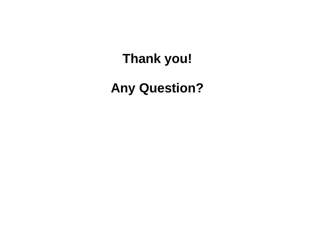# Thank you!

## **Any Question?**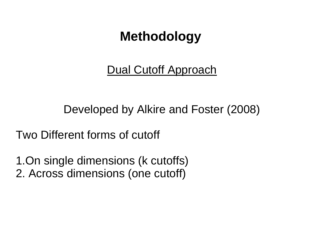## **Method dology**

Dual Cutoff f Approach

Developed by Alkire and Foster (2008)

Two Different forms of cutoff

1.On single dimensions (k cutoffs) 2. Across dimensions (one cutoff)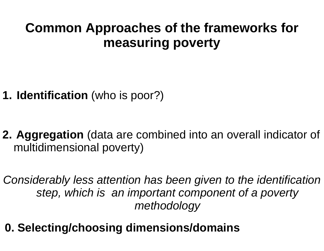# **Common Approaches of the frameworks for measurin g poverty**

- **1. Identification** (who is poor?)
- **1. Identification** (who is poor?)<br>**2. Aggregation** (data are combined into an overall indicator of multidimensional poverty)

Considerably less attention has been given to the identification step, which is an important component of a poverty *metho odology*

**0. Selecting/choosing dimens sions/domains**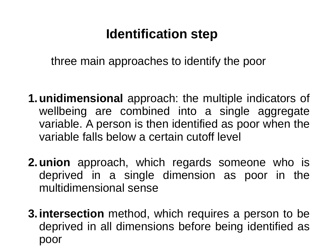# **I**dentification step

three main approaches to identify the poor

- **1. unidimensional** approach: the multiple indicators of wellbeing are combined into a single aggregate variable. A person is the n identified as poor when the variable falls below a certain cutoff level
- **2.union** approach, which regards someone who is deprived in <sup>a</sup> single dimension as poor in the multidimensional sense
- **3. intersection** method, which requires a person to be deprived in all dimensio ns before being identified aspoor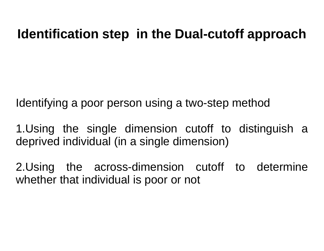#### **Identification step in th he Dual -cutoff approach cutoff**

Identifying a poor person using a two-step method

1.Using the single dimension cutoff to distinguish a deprived individual (in a single dimension)

2.Using the across-dimension cutoff to determine whether that individual is poor or not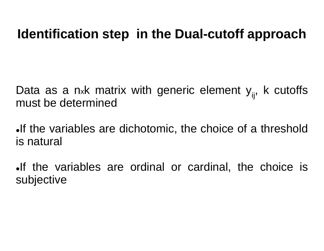#### **Identification step in th he Dual -cutoff approach cutoff**

Data as a n<sub>x</sub>k matrix with generic element y<sub>ij</sub>, k cutoffs must be determined

If the variables are dichotomic, the choice of a threshold is natural

If the variables are ordinal or cardinal, the choice is subjective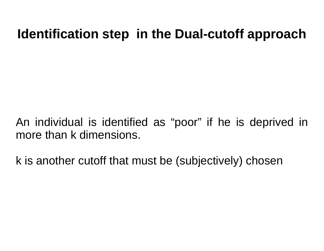#### **Identification step in th he Dual -cutoff approach cutoff**

An individual is identified as <sup>s</sup>"poor " if he is deprived in more than k dimensions.

k is anothe r cutoff that must b be (subjectively) chosen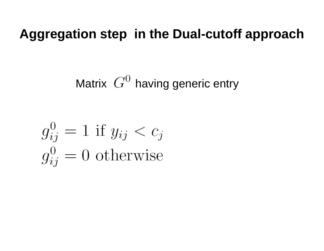#### **Aggregation step in th e Dual -cutoff approach cutoff approach**

Matrix  $\,G^{\scriptscriptstyle\cup} \,$  having generic entry

$$
g_{ij}^0 = 1 \text{ if } y_{ij} < c_j
$$
\n
$$
g_{ij}^0 = 0 \text{ otherwise}
$$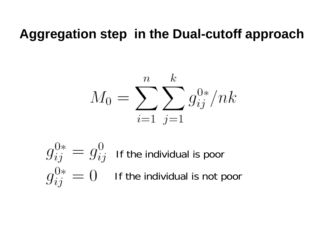#### **Aggregation step in th e Dual -cutoff approach cutoff approach**

$$
M_0 = \sum_{i=1}^n \sum_{j=1}^k g_{ij}^{0*}/nk
$$

If the individual is poor If the individual is not poor